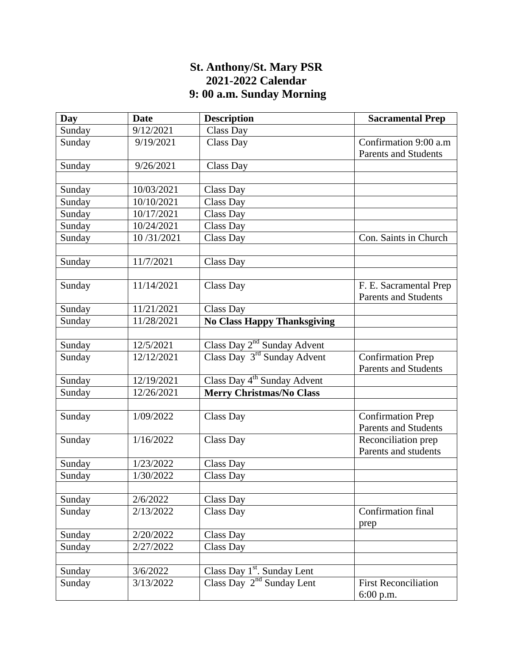## **St. Anthony/St. Mary PSR 2021-2022 Calendar 9: 00 a.m. Sunday Morning**

| Day    | <b>Date</b> | <b>Description</b>                      | <b>Sacramental Prep</b>     |
|--------|-------------|-----------------------------------------|-----------------------------|
| Sunday | 9/12/2021   | Class Day                               |                             |
| Sunday | 9/19/2021   | Class Day                               | Confirmation 9:00 a.m       |
|        |             |                                         | <b>Parents and Students</b> |
| Sunday | 9/26/2021   | Class Day                               |                             |
|        |             |                                         |                             |
| Sunday | 10/03/2021  | Class Day                               |                             |
| Sunday | 10/10/2021  | Class Day                               |                             |
| Sunday | 10/17/2021  | Class Day                               |                             |
| Sunday | 10/24/2021  | Class Day                               |                             |
| Sunday | 10/31/2021  | Class Day                               | Con. Saints in Church       |
|        |             |                                         |                             |
| Sunday | 11/7/2021   | <b>Class Day</b>                        |                             |
|        |             |                                         |                             |
| Sunday | 11/14/2021  | Class Day                               | F. E. Sacramental Prep      |
|        |             |                                         | <b>Parents and Students</b> |
| Sunday | 11/21/2021  | Class Day                               |                             |
| Sunday | 11/28/2021  | <b>No Class Happy Thanksgiving</b>      |                             |
|        |             |                                         |                             |
| Sunday | 12/5/2021   | Class Day 2 <sup>nd</sup> Sunday Advent |                             |
| Sunday | 12/12/2021  | Class Day 3 <sup>rd</sup> Sunday Advent | <b>Confirmation Prep</b>    |
|        |             |                                         | <b>Parents and Students</b> |
| Sunday | 12/19/2021  | Class Day 4 <sup>th</sup> Sunday Advent |                             |
| Sunday | 12/26/2021  | <b>Merry Christmas/No Class</b>         |                             |
|        |             |                                         |                             |
| Sunday | 1/09/2022   | Class Day                               | Confirmation Prep           |
|        |             |                                         | <b>Parents and Students</b> |
| Sunday | 1/16/2022   | Class Day                               | Reconciliation prep         |
|        |             |                                         | Parents and students        |
| Sunday | 1/23/2022   | Class Day                               |                             |
| Sunday | 1/30/2022   | Class Day                               |                             |
|        |             |                                         |                             |
| Sunday | 2/6/2022    | Class Day                               |                             |
| Sunday | 2/13/2022   | Class Day                               | Confirmation final          |
|        |             |                                         | prep                        |
| Sunday | 2/20/2022   | Class Day                               |                             |
| Sunday | 2/27/2022   | Class Day                               |                             |
|        |             |                                         |                             |
| Sunday | 3/6/2022    | Class Day 1 <sup>st</sup> . Sunday Lent |                             |
| Sunday | 3/13/2022   | Class Day $2nd$ Sunday Lent             | <b>First Reconciliation</b> |
|        |             |                                         | $6:00$ p.m.                 |